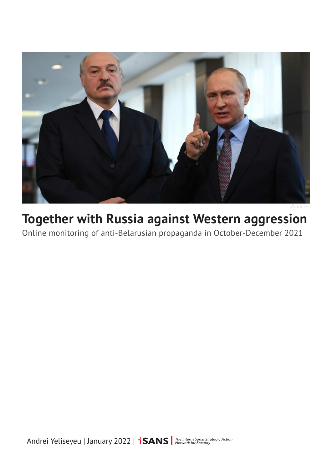

# **Together with Russia against Western aggression**

Online monitoring of anti-Belarusian propaganda in October-December 2021

Andrei Yeliseyeu | January 2022 | **İSANS** Methrenational Strategic Action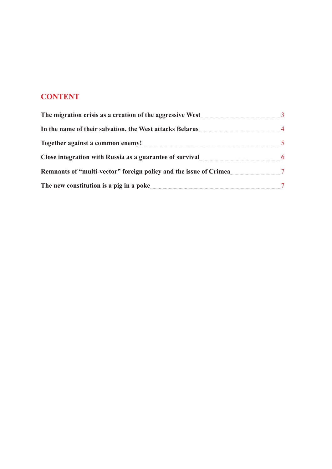# **CONTENT**

| The migration crisis as a creation of the aggressive West                                                                                                                                                                                                                                         |                      |
|---------------------------------------------------------------------------------------------------------------------------------------------------------------------------------------------------------------------------------------------------------------------------------------------------|----------------------|
| In the name of their salvation, the West attacks Belarus<br>Together against a common enemy!<br><u>Interviewed</u> and the set of the set of the set of the set of the set of the set of the set of the set of the set of the set of the set of the set of the set of the set of the set of the s | $\overline{4}$<br>-5 |
|                                                                                                                                                                                                                                                                                                   |                      |
| Remnants of "multi-vector" foreign policy and the issue of Crimea                                                                                                                                                                                                                                 | $\overline{7}$       |
| The new constitution is a pig in a poke <b>Section</b> 2 and 2 and 3 and 3 and 3 and 3 and 3 and 3 and 3 and 3 and 3 and 3 and 3 and 3 and 3 and 3 and 3 and 3 and 3 and 3 and 3 and 3 and 3 and 3 and 3 and 3 and 3 and 3 and 3 an                                                               |                      |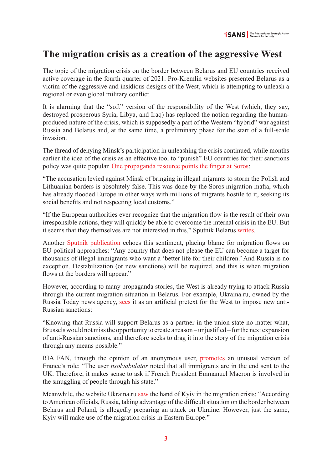### <span id="page-2-0"></span>**The migration crisis as a creation of the aggressive West**

The topic of the migration crisis on the border between Belarus and EU countries received active coverage in the fourth quarter of 2021. Pro-Kremlin websites presented Belarus as a victim of the aggressive and insidious designs of the West, which is attempting to unleash a regional or even global military conflict.

It is alarming that the "soft" version of the responsibility of the West (which, they say, destroyed prosperous Syria, Libya, and Iraq) has replaced the notion regarding the humanproduced nature of the crisis, which is supposedly a part of the Western "hybrid" war against Russia and Belarus and, at the same time, a preliminary phase for the start of a full-scale invasion.

The thread of denying Minsk's participation in unleashing the crisis continued, while months earlier the idea of the crisis as an effective tool to "punish" EU countries for their sanctions policy was quite popular. [One propaganda resource points the finger at Soros](https://cont.ws/@Dewsa/2137745):

"The accusation levied against Minsk of bringing in illegal migrants to storm the Polish and Lithuanian borders is absolutely false. This was done by the Soros migration mafia, which has already flooded Europe in other ways with millions of migrants hostile to it, seeking its social benefits and not respecting local customs."

"If the European authorities ever recognize that the migration flow is the result of their own irresponsible actions, they will quickly be able to overcome the internal crisis in the EU. But it seems that they themselves are not interested in this," Sputnik Belarus [writes](https://sputnik.by/20211105/belgiyskiy-shokolad-s-gorchitsey-polexit-pri-chem-zdes-sanktsii-protiv-belarusi-1057693772.html).

Another [Sputnik publication](https://sputnik.by/20211114/my-znali-chto-eto-terroristy-evropa-vinit-minsk-v-tom-chto-natvorila-1057920220.html) echoes this sentiment, placing blame for migration flows on EU political approaches: "Any country that does not please the EU can become a target for thousands of illegal immigrants who want a 'better life for their children.' And Russia is no exception. Destabilization (or new sanctions) will be required, and this is when migration flows at the borders will appear."

However, according to many propaganda stories, the West is already trying to attack Russia through the current migration situation in Belarus. For example, Ukraina.ru, owned by the Russia Today news agency, [sees](https://ukraina.ru/exclusive/20211115/1032664531.html) it as an artificial pretext for the West to impose new anti-Russian sanctions:

"Knowing that Russia will support Belarus as a partner in the union state no matter what, Brussels would not miss the opportunity to create a reason – unjustified – for the next expansion of anti-Russian sanctions, and therefore seeks to drag it into the story of the migration crisis through any means possible."

RIA FAN, through the opinion of an anonymous user, [promotes](https://riafan.ru/1545598-chitateli-le-figaro-raskritikovali-vlasti-es-za-situaciyu-s-migrantami) an unusual version of France's role: "The user *nsolvabulator* noted that all immigrants are in the end sent to the UK. Therefore, it makes sense to ask if French President Emmanuel Macron is involved in the smuggling of people through his state."

Meanwhile, the website Ukraina.ru [saw](https://ukraina.ru/exclusive/20211112/1032653318.html) the hand of Kyiv in the migration crisis: "According to American officials, Russia, taking advantage of the difficult situation on the border between Belarus and Poland, is allegedly preparing an attack on Ukraine. However, just the same, Kyiv will make use of the migration crisis in Eastern Europe."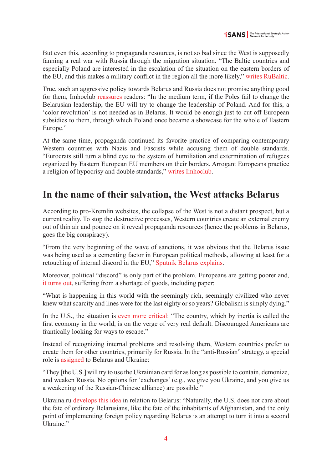<span id="page-3-0"></span>But even this, according to propaganda resources, is not so bad since the West is supposedly fanning a real war with Russia through the migration situation. "The Baltic countries and especially Poland are interested in the escalation of the situation on the eastern borders of the EU, and this makes a military conflict in the region all the more likely," [writes RuBaltic.](https://www.rubaltic.ru/article/politika-i-obshchestvo/20211109-belarus-vplotnuyu-podoshla-k-voennomu-konfliktu-s-polshey-i-pribaltikoy/)

True, such an aggressive policy towards Belarus and Russia does not promise anything good for them, Imhoclub [reassures](https://imhoclub.by/ru/material/krizis_na_granice_21_11) readers: "In the medium term, if the Poles fail to change the Belarusian leadership, the EU will try to change the leadership of Poland. And for this, a 'color revolution' is not needed as in Belarus. It would be enough just to cut off European subsidies to them, through which Poland once became a showcase for the whole of Eastern Europe."

At the same time, propaganda continued its favorite practice of comparing contemporary Western countries with Nazis and Fascists while accusing them of double standards. "Eurocrats still turn a blind eye to the system of humiliation and extermination of refugees organized by Eastern European EU members on their borders. Arrogant Europeans practice a religion of hypocrisy and double standards," [writes Imhoclub](https://imhoclub.by/ru/material/situacija_s_migrantami_na_polskoj_granice).

# **In the name of their salvation, the West attacks Belarus**

According to pro-Kremlin websites, the collapse of the West is not a distant prospect, but a current reality. To stop the destructive processes, Western countries create an external enemy out of thin air and pounce on it reveal propaganda resources (hence the problems in Belarus, goes the big conspiracy).

"From the very beginning of the wave of sanctions, it was obvious that the Belarus issue was being used as a cementing factor in European political methods, allowing at least for a retouching of internal discord in the EU," [Sputnik Belarus explains](https://sputnik.by/20211105/belgiyskiy-shokolad-s-gorchitsey-polexit-pri-chem-zdes-sanktsii-protiv-belarusi-1057693772.html).

Moreover, political "discord" is only part of the problem. Europeans are getting poorer and, [it turns out,](https://ria.ru/20211006/ekonomika-1753216397.html) suffering from a shortage of goods, including paper:

"What is happening in this world with the seemingly rich, seemingly civilized who never knew what scarcity and lines were for the last eighty or so years? Globalism is simply dying."

In the U.S., the situation is [even more critical:](https://sputnik.by/20211005/amerika-tschetno-pytaetsya-spastis-ot-defolta-1056968642.html) "The country, which by inertia is called the first economy in the world, is on the verge of very real default. Discouraged Americans are frantically looking for ways to escape."

Instead of recognizing internal problems and resolving them, Western countries prefer to create them for other countries, primarily for Russia. In the "anti-Russian" strategy, a special role is [assigned](https://sputnik.by/20211012/knut-ili-pechenki-chto-na-samom-dele-vezet-nuland-v-rossiyu-1057127445.html) to Belarus and Ukraine:

"They [the U.S.] will try to use the Ukrainian card for as long as possible to contain, demonize, and weaken Russia. No options for 'exchanges' (e.g., we give you Ukraine, and you give us a weakening of the Russian-Chinese alliance) are possible."

Ukraina.ru [develops this idea](https://ukraina.ru/exclusive/20211022/1032514933.html) in relation to Belarus: "Naturally, the U.S. does not care about the fate of ordinary Belarusians, like the fate of the inhabitants of Afghanistan, and the only point of implementing foreign policy regarding Belarus is an attempt to turn it into a second Ukraine."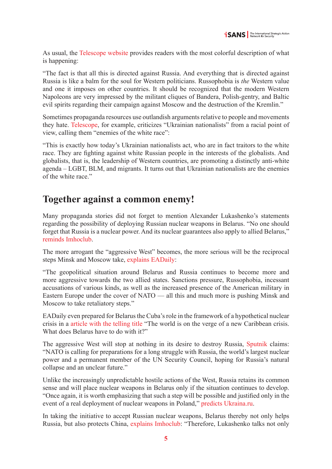<span id="page-4-0"></span>As usual, the [Telescope website](https://teleskop.media/2021/10/31/belorusskij-uchyonyj-glavnaya-evropejskaya-tsennost-eto-rusofobiya/) provides readers with the most colorful description of what is happening:

"The fact is that all this is directed against Russia. And everything that is directed against Russia is like a balm for the soul for Western politicians. Russophobia is *the* Western value and one it imposes on other countries. It should be recognized that the modern Western Napoleons are very impressed by the militant cliques of Bandera, Polish-gentry, and Baltic evil spirits regarding their campaign against Moscow and the destruction of the Kremlin."

Sometimes propaganda resources use outlandish arguments relative to people and movements they hate. [Telescope](https://teleskop.media/2021/12/16/ukrainskie-natsisty-nastoyashhie-vragi-beloj-rasy/), for example, criticizes "Ukrainian nationalists" from a racial point of view, calling them "enemies of the white race":

"This is exactly how today's Ukrainian nationalists act, who are in fact traitors to the white race. They are fighting against white Russian people in the interests of the globalists. And globalists, that is, the leadership of Western countries, are promoting a distinctly anti-white agenda – LGBT, BLM, and migrants. It turns out that Ukrainian nationalists are the enemies of the white race."

#### **Together against a common enemy!**

Many propaganda stories did not forget to mention Alexander Lukashenko's statements regarding the possibility of deploying Russian nuclear weapons in Belarus. "No one should forget that Russia is a nuclear power. And its nuclear guarantees also apply to allied Belarus," [reminds Imhoclub](https://imhoclub.by/ru/material/voennaja_sfera_kak_lokomotiv_integracii_rossii_i_belarusi).

The more arrogant the "aggressive West" becomes, the more serious will be the reciprocal steps Minsk and Moscow take, [explains EADaily:](https://eadaily.com/ru/news/2021/10/23/novaya-voennaya-doktrina-soyuznogo-gosudarstva-v-chem-osobennost-situacii)

"The geopolitical situation around Belarus and Russia continues to become more and more aggressive towards the two allied states. Sanctions pressure, Russophobia, incessant accusations of various kinds, as well as the increased presence of the American military in Eastern Europe under the cover of NATO — all this and much more is pushing Minsk and Moscow to take retaliatory steps."

EADaily even prepared for Belarus the Cuba's role in the framework of a hypothetical nuclear crisis in a [article with the telling title](https://eadaily.com/ru/news/2021/12/25/mir-na-poroge-novogo-karibskogo-krizisa-pri-chem-zdes-belorussiya) "The world is on the verge of a new Caribbean crisis. What does Belarus have to do with it?"

The aggressive West will stop at nothing in its desire to destroy Russia, [Sputnik](https://sputnik.by/20211112/dlya-chego-rossiyskie-belye-lebedi-otrabatyvayut-udary-na-poligonakh-belarusi-1057901738.html) claims: "NATO is calling for preparations for a long struggle with Russia, the world's largest nuclear power and a permanent member of the UN Security Council, hoping for Russia's natural collapse and an unclear future."

Unlike the increasingly unpredictable hostile actions of the West, Russia retains its common sense and will place nuclear weapons in Belarus only if the situation continues to develop. "Once again, it is worth emphasizing that such a step will be possible and justified only in the event of a real deployment of nuclear weapons in Poland," [predicts Ukraina.ru](https://ukraina.ru/exclusive/20211207/1032816254.html).

In taking the initiative to accept Russian nuclear weapons, Belarus thereby not only helps Russia, but also protects China, [explains Imhoclub:](https://imhoclub.by/ru/material/alekseev_leopardi_i_raduzhnie_prognozi_ot_radio_svoboda) "Therefore, Lukashenko talks not only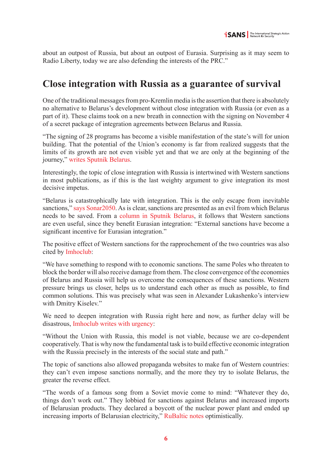<span id="page-5-0"></span>about an outpost of Russia, but about an outpost of Eurasia. Surprising as it may seem to Radio Liberty, today we are also defending the interests of the PRC."

#### **Close integration with Russia as a guarantee of survival**

One of the traditional messages from pro-Kremlin media is the assertion that there is absolutely no alternative to Belarus's development without close integration with Russia (or even as a part of it). These claims took on a new breath in connection with the signing on November 4 of a secret package of integration agreements between Belarus and Russia.

"The signing of 28 programs has become a visible manifestation of the state's will for union building. That the potential of the Union's economy is far from realized suggests that the limits of its growth are not even visible yet and that we are only at the beginning of the journey," [writes Sputnik Belarus](https://sputnik.by/20211112/perezagruzka-osobogo-znacheniya-kakovy-predely-rosta-u-soyuznoy-ekonomiki-1057897423.html).

Interestingly, the topic of close integration with Russia is intertwined with Western sanctions in most publications, as if this is the last weighty argument to give integration its most decisive impetus.

"Belarus is catastrophically late with integration. This is the only escape from inevitable sanctions," [says Sonar2050.](https://www.sonar2050.org/publications/neizbejnye-sankcii-protiv-minska/) As is clear, sanctions are presented as an evil from which Belarus needs to be saved. From a [column in Sputnik Belarus](https://sputnik.by/20211209/dyryavyy-paket-antibelorusskie-sanktsii-razvivayut-evraziyskuyu-integratsiyu-1058576690.html), it follows that Western sanctions are even useful, since they benefit Eurasian integration: "External sanctions have become a significant incentive for Eurasian integration."

The positive effect of Western sanctions for the rapprochement of the two countries was also cited by [Imhoclub:](https://imhoclub.by/ru/material/integracionnij_format_suverennosti)

"We have something to respond with to economic sanctions. The same Poles who threaten to block the border will also receive damage from them. The close convergence of the economies of Belarus and Russia will help us overcome the consequences of these sanctions. Western pressure brings us closer, helps us to understand each other as much as possible, to find common solutions. This was precisely what was seen in Alexander Lukashenko's interview with Dmitry Kiselev."

We need to deepen integration with Russia right here and now, as further delay will be disastrous, [Imhoclub writes with urgency:](https://imhoclub.by/ru/material/union_state_ili_novaja_jugoslavija)

"Without the Union with Russia, this model is not viable, because we are co-dependent cooperatively. That is why now the fundamental task is to build effective economic integration with the Russia precisely in the interests of the social state and path."

The topic of sanctions also allowed propaganda websites to make fun of Western countries: they can't even impose sanctions normally, and the more they try to isolate Belarus, the greater the reverse effect.

"The words of a famous song from a Soviet movie come to mind: "Whatever they do, things don't work out." They lobbied for sanctions against Belarus and increased imports of Belarusian products. They declared a boycott of the nuclear power plant and ended up increasing imports of Belarusian electricity," [RuBaltic notes](https://www.rubaltic.ru/article/ekonomika-i-biznes/20211019-sanktsii-kuram-na-smekh-litva-rekordnymi-tempami-narashchivaet-import-iz-belarusi/) optimistically.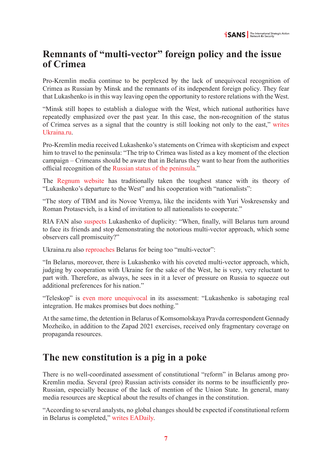## <span id="page-6-0"></span>**Remnants of "multi-vector" foreign policy and the issue of Crimea**

Pro-Kremlin media continue to be perplexed by the lack of unequivocal recognition of Crimea as Russian by Minsk and the remnants of its independent foreign policy. They fear that Lukashenko is in this way leaving open the opportunity to restore relations with the West.

"Minsk still hopes to establish a dialogue with the West, which national authorities have repeatedly emphasized over the past year. In this case, the non-recognition of the status of Crimea serves as a signal that the country is still looking not only to the east," [writes](https://ukraina.ru/exclusive/20211008/1032418622.html)  [Ukraina.ru](https://ukraina.ru/exclusive/20211008/1032418622.html).

Pro-Kremlin media received Lukashenko's statements on Crimea with skepticism and expect him to travel to the peninsula: "The trip to Crimea was listed as a key moment of the election campaign – Crimeans should be aware that in Belarus they want to hear from the authorities official recognition of the [Russian status of the peninsula.](https://eadaily.com/ru/news/2021/10/05/iniciatory-akcii-priznay-krym-iz-belorussii-zaruchilis-podderzhkoy-na-poluostrove)"

The [Regnum website](https://regnum.ru/news/polit/3403907.html) has traditionally taken the toughest stance with its theory of "Lukashenko's departure to the West" and his cooperation with "nationalists":

"The story of TBM and its Novoe Vremya, like the incidents with Yuri Voskresensky and Roman Protasevich, is a kind of invitation to all nationalists to cooperate."

RIA FAN also [suspects](https://riafan.ru/1490545-kogda-i-pochemu-belorussiya-razvernetsya-na-vostok) Lukashenko of duplicity: "When, finally, will Belarus turn around to face its friends and stop demonstrating the notorious multi-vector approach, which some observers call promiscuity?"

Ukraina.ru also [reproaches](https://ukraina.ru/exclusive/20211105/1032606866.html) Belarus for being too "multi-vector":

"In Belarus, moreover, there is Lukashenko with his coveted multi-vector approach, which, judging by cooperation with Ukraine for the sake of the West, he is very, very reluctant to part with. Therefore, as always, he sees in it a lever of pressure on Russia to squeeze out additional preferences for his nation."

"Teleskop" is [even more unequivocal](https://teleskop.media/2021/10/31/poslednij-shans-na-obedinenie-chto-zadumal-lukashenko/) in its assessment: "Lukashenko is sabotaging real integration. He makes promises but does nothing."

At the same time, the detention in Belarus of Komsomolskaya Pravda correspondent Gennady Mozheiko, in addition to the Zapad 2021 exercises, received only fragmentary coverage on propaganda resources.

# **The new constitution is a pig in a poke**

There is no well-coordinated assessment of constitutional "reform" in Belarus among pro-Kremlin media. Several (pro) Russian activists consider its norms to be insufficiently pro-Russian, especially because of the lack of mention of the Union State. In general, many media resources are skeptical about the results of changes in the constitution.

"According to several analysts, no global changes should be expected if constitutional reform in Belarus is completed," [writes EADaily](https://eadaily.com/ru/news/2021/10/16/v-belorussii-gotovyat-reformu-konstitucii-v-chem-ee-osobennosti).